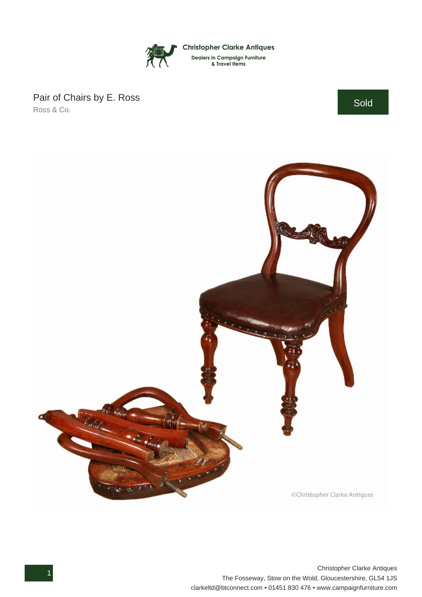

## Pair of Chairs by E. Ross Ross & Co.

Sold